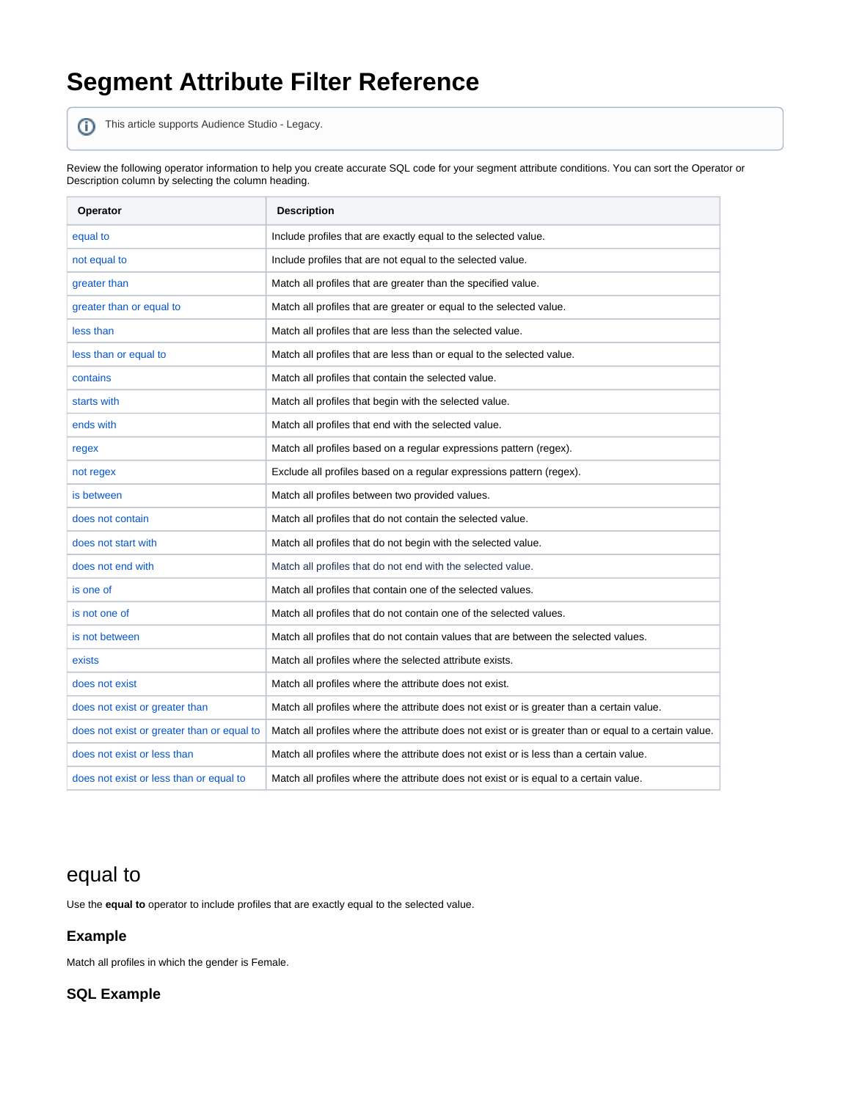# **Segment Attribute Filter Reference**

This article supports Audience Studio - Legacy.

Review the following operator information to help you create accurate SQL code for your segment attribute conditions. You can sort the Operator or Description column by selecting the column heading.

| <b>Operator</b>                            | <b>Description</b>                                                                                    |
|--------------------------------------------|-------------------------------------------------------------------------------------------------------|
| equal to                                   | Include profiles that are exactly equal to the selected value.                                        |
| not equal to                               | Include profiles that are not equal to the selected value.                                            |
| greater than                               | Match all profiles that are greater than the specified value.                                         |
| greater than or equal to                   | Match all profiles that are greater or equal to the selected value.                                   |
| less than                                  | Match all profiles that are less than the selected value.                                             |
| less than or equal to                      | Match all profiles that are less than or equal to the selected value.                                 |
| contains                                   | Match all profiles that contain the selected value.                                                   |
| starts with                                | Match all profiles that begin with the selected value.                                                |
| ends with                                  | Match all profiles that end with the selected value.                                                  |
| regex                                      | Match all profiles based on a regular expressions pattern (regex).                                    |
| not regex                                  | Exclude all profiles based on a regular expressions pattern (regex).                                  |
| is between                                 | Match all profiles between two provided values.                                                       |
| does not contain                           | Match all profiles that do not contain the selected value.                                            |
| does not start with                        | Match all profiles that do not begin with the selected value.                                         |
| does not end with                          | Match all profiles that do not end with the selected value.                                           |
| is one of                                  | Match all profiles that contain one of the selected values.                                           |
| is not one of                              | Match all profiles that do not contain one of the selected values.                                    |
| is not between                             | Match all profiles that do not contain values that are between the selected values.                   |
| exists                                     | Match all profiles where the selected attribute exists.                                               |
| does not exist                             | Match all profiles where the attribute does not exist.                                                |
| does not exist or greater than             | Match all profiles where the attribute does not exist or is greater than a certain value.             |
| does not exist or greater than or equal to | Match all profiles where the attribute does not exist or is greater than or equal to a certain value. |
| does not exist or less than                | Match all profiles where the attribute does not exist or is less than a certain value.                |
| does not exist or less than or equal to    | Match all profiles where the attribute does not exist or is equal to a certain value.                 |

### equal to

Use the **equal to** operator to include profiles that are exactly equal to the selected value.

### **Example**

Match all profiles in which the gender is Female.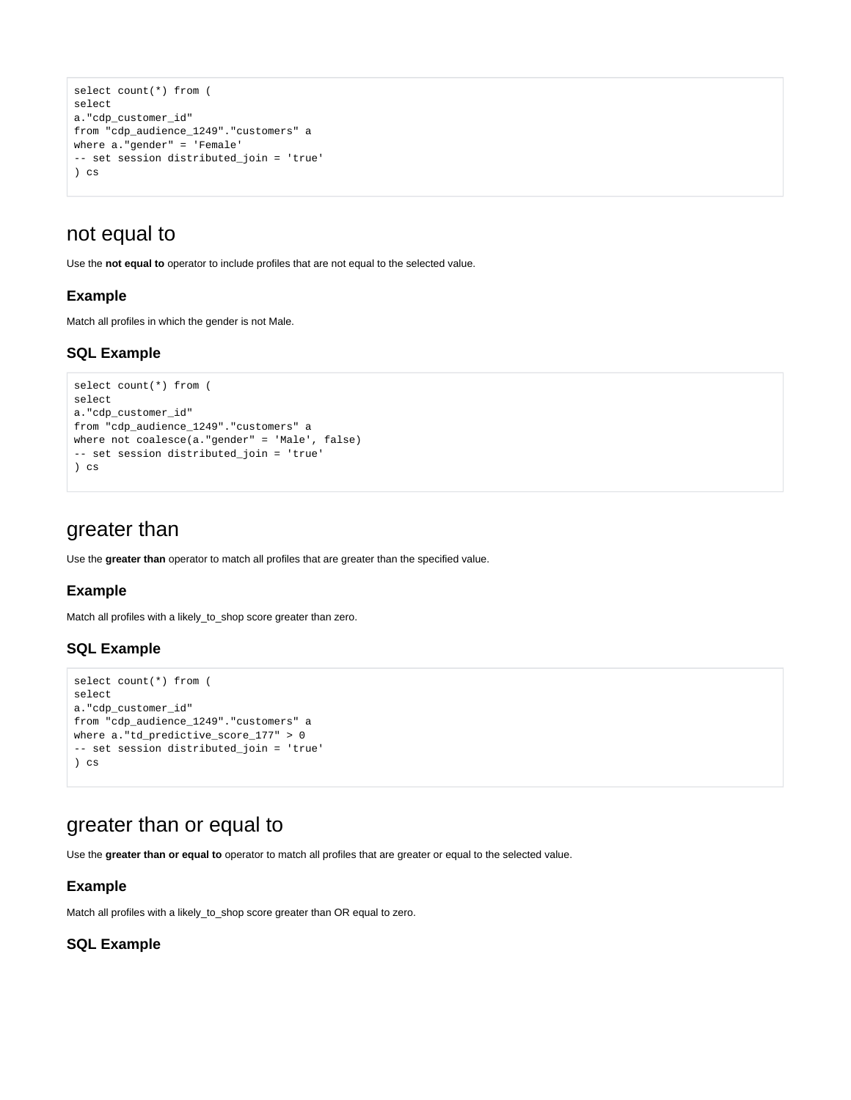```
select count(*) from (
select
a."cdp_customer_id"
from "cdp_audience_1249"."customers" a
where a."gender" = 'Female'
-- set session distributed_join = 'true'
) cs
```
### not equal to

Use the **not equal to** operator to include profiles that are not equal to the selected value.

### **Example**

Match all profiles in which the gender is not Male.

### **SQL Example**

```
select count(*) from (
select
a."cdp_customer_id"
from "cdp_audience_1249"."customers" a
where not coalesce(a."gender" = 'Male', false)
-- set session distributed_join = 'true'
) cs
```
### greater than

Use the **greater than** operator to match all profiles that are greater than the specified value.

#### **Example**

Match all profiles with a likely\_to\_shop score greater than zero.

### **SQL Example**

```
select count(*) from (
select
a."cdp_customer_id"
from "cdp_audience_1249"."customers" a
where a."td_predictive_score_177" > 0
-- set session distributed_join = 'true'
) cs
```
### <span id="page-1-0"></span>greater than or equal to

Use the **greater than or equal to** operator to match all profiles that are greater or equal to the selected value.

#### **Example**

Match all profiles with a likely\_to\_shop score greater than OR equal to zero.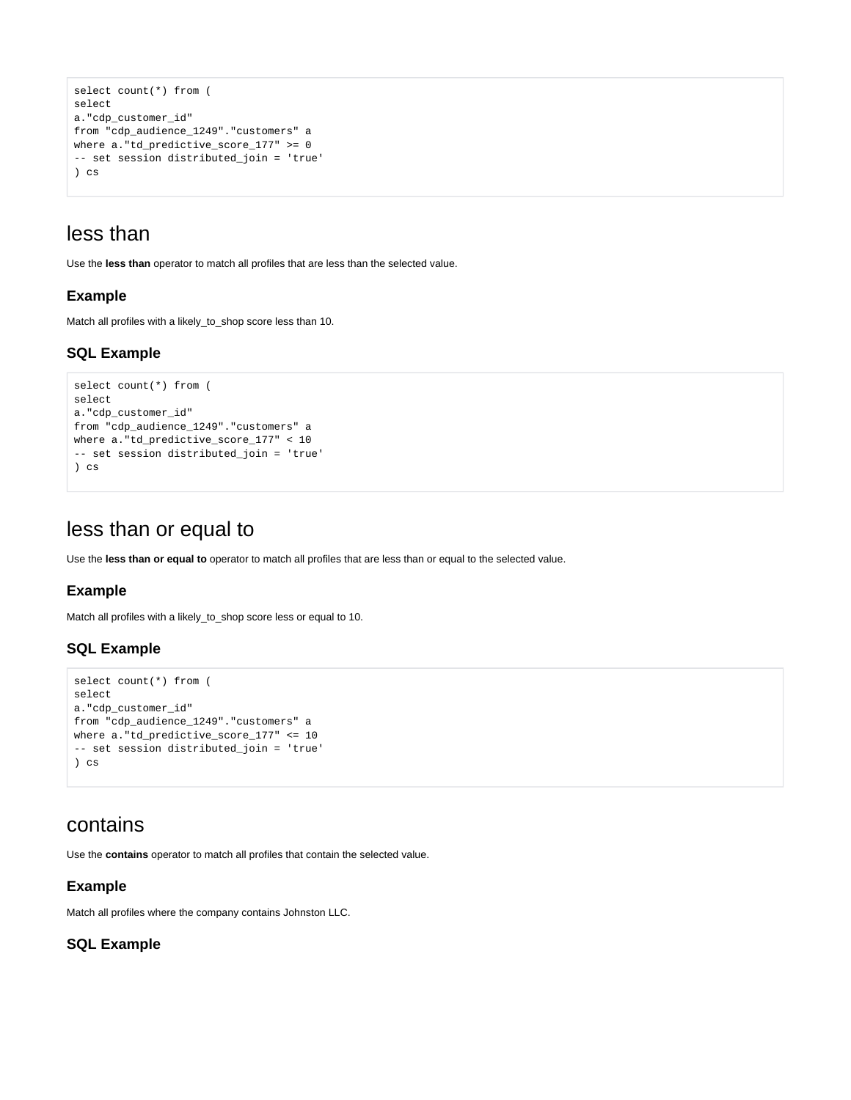```
select count(*) from (
select
a."cdp_customer_id"
from "cdp_audience_1249"."customers" a
where a."td_predictive_score_177" >= 0
-- set session distributed_join = 'true'
) cs
```
### <span id="page-2-0"></span>less than

Use the **less than** operator to match all profiles that are less than the selected value.

### **Example**

Match all profiles with a likely\_to\_shop score less than 10.

### **SQL Example**

```
select count(*) from (
select
a."cdp_customer_id"
from "cdp_audience_1249"."customers" a
where a."td_predictive_score_177" < 10
-- set session distributed_join = 'true'
) cs
```
### <span id="page-2-1"></span>less than or equal to

Use the **less than or equal to** operator to match all profiles that are less than or equal to the selected value.

#### **Example**

Match all profiles with a likely\_to\_shop score less or equal to 10.

### **SQL Example**

```
select count(*) from (
select
a."cdp_customer_id"
from "cdp_audience_1249"."customers" a
where a."td_predictive_score_177" <= 10
-- set session distributed_join = 'true'
) cs
```
### <span id="page-2-2"></span>contains

Use the **contains** operator to match all profiles that contain the selected value.

### **Example**

Match all profiles where the company contains Johnston LLC.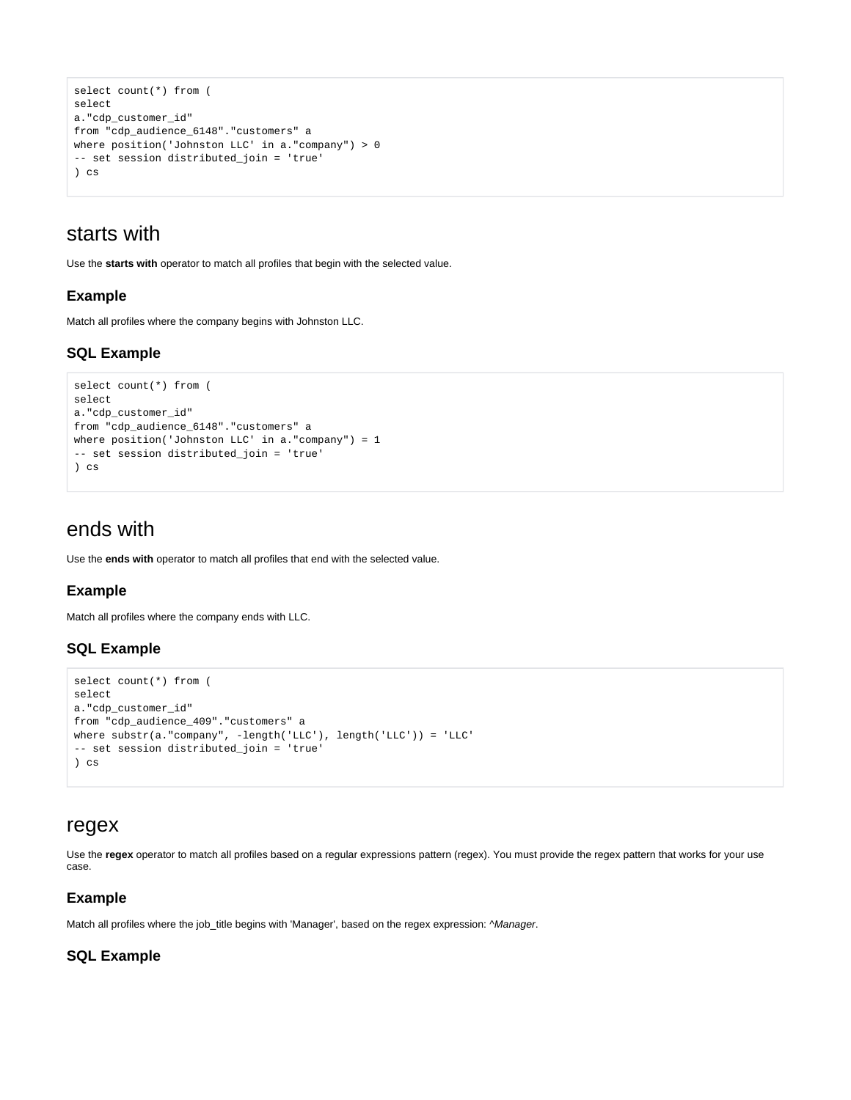```
select count(*) from (
select
a."cdp_customer_id"
from "cdp_audience_6148"."customers" a
where position('Johnston LLC' in a."company") > 0
-- set session distributed_join = 'true'
) cs
```
### <span id="page-3-0"></span>starts with

Use the **starts with** operator to match all profiles that begin with the selected value.

#### **Example**

Match all profiles where the company begins with Johnston LLC.

### **SQL Example**

```
select count(*) from (
select
a."cdp_customer_id"
from "cdp_audience_6148"."customers" a
where position('Johnston LLC' in a."company") = 1
-- set session distributed_join = 'true'
) cs
```
### <span id="page-3-1"></span>ends with

Use the **ends with** operator to match all profiles that end with the selected value.

#### **Example**

Match all profiles where the company ends with LLC.

### **SQL Example**

```
select count(*) from (
select
a."cdp_customer_id"
from "cdp_audience_409"."customers" a
where substr(a."company", -length('LLC'), length('LLC')) = 'LLC'
-- set session distributed_join = 'true'
) cs
```
### <span id="page-3-2"></span>regex

Use the **regex** operator to match all profiles based on a regular expressions pattern (regex). You must provide the regex pattern that works for your use case.

#### **Example**

Match all profiles where the job\_title begins with 'Manager', based on the regex expression: ^Manager.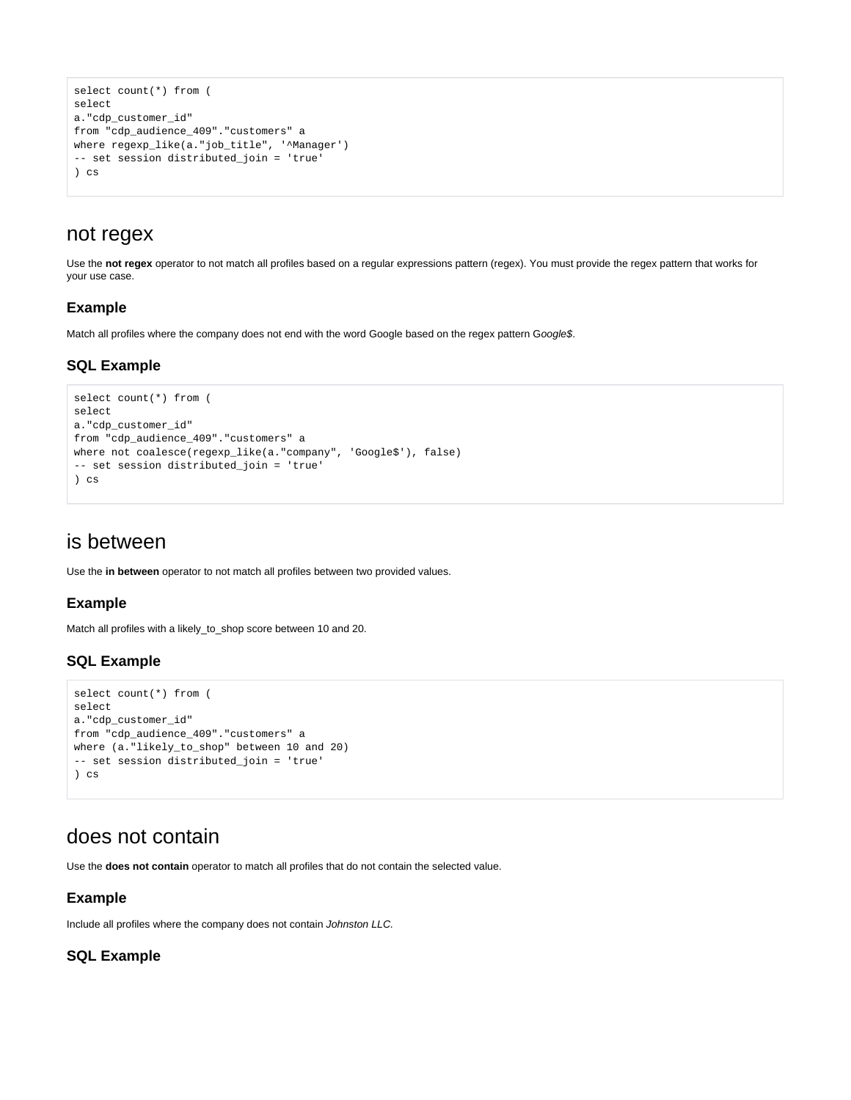```
select count(*) from (
select
a."cdp_customer_id"
from "cdp_audience_409"."customers" a
where regexp_like(a."job_title", '^Manager')
-- set session distributed_join = 'true'
) cs
```
### <span id="page-4-0"></span>not regex

Use the **not regex** operator to not match all profiles based on a regular expressions pattern (regex). You must provide the regex pattern that works for your use case.

#### **Example**

Match all profiles where the company does not end with the word Google based on the regex pattern Google\$.

#### **SQL Example**

```
select count(*) from (
select
a."cdp_customer_id"
from "cdp_audience_409"."customers" a
where not coalesce(regexp_like(a."company", 'Google$'), false)
-- set session distributed_join = 'true'
) cs
```
### <span id="page-4-1"></span>is between

Use the **in between** operator to not match all profiles between two provided values.

### **Example**

Match all profiles with a likely\_to\_shop score between 10 and 20.

#### **SQL Example**

```
select count(*) from (
select
a."cdp_customer_id"
from "cdp_audience_409"."customers" a
where (a."likely_to_shop" between 10 and 20)
-- set session distributed_join = 'true'
) cs
```
### <span id="page-4-2"></span>does not contain

Use the **does not contain** operator to match all profiles that do not contain the selected value.

#### **Example**

Include all profiles where the company does not contain Johnston LLC.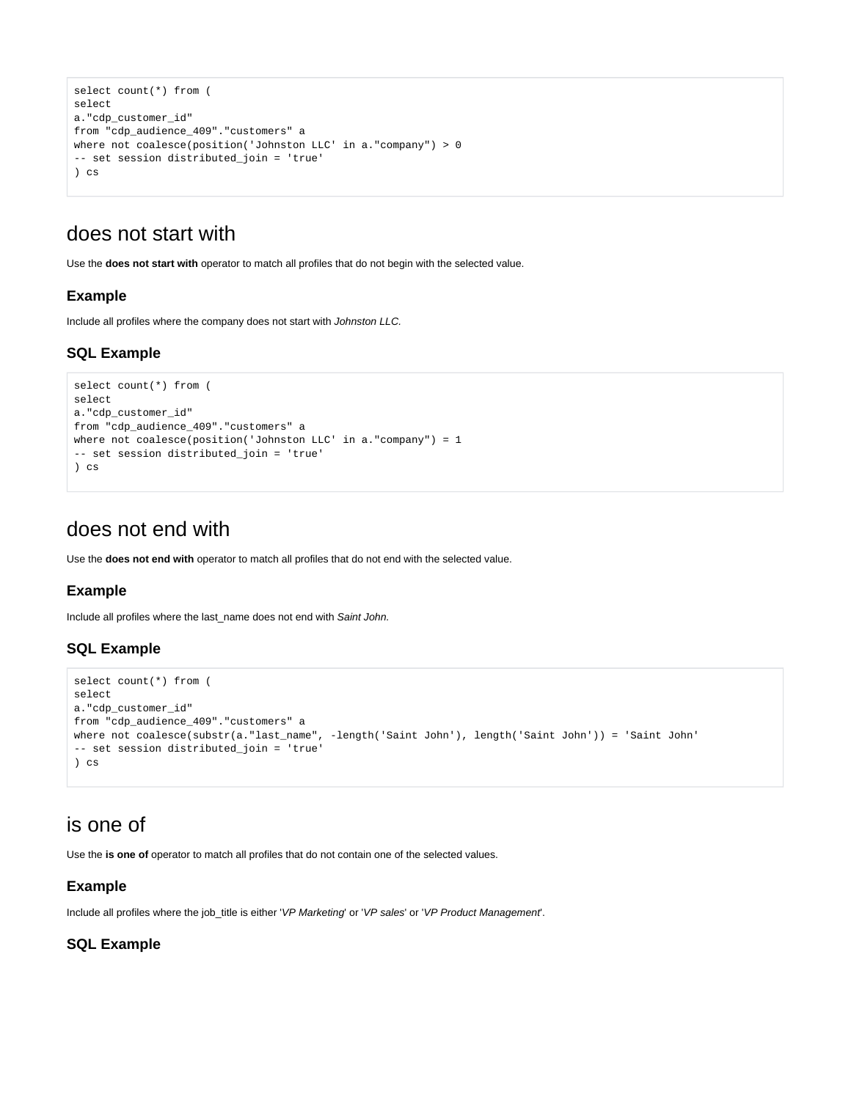```
select count(*) from (
select
a."cdp_customer_id"
from "cdp_audience_409"."customers" a
where not coalesce(position('Johnston LLC' in a."company") > 0
-- set session distributed_join = 'true'
) cs
```
### <span id="page-5-0"></span>does not start with

Use the **does not start with** operator to match all profiles that do not begin with the selected value.

### **Example**

Include all profiles where the company does not start with Johnston LLC.

### **SQL Example**

```
select count(*) from (
select
a."cdp_customer_id"
from "cdp_audience_409"."customers" a
where not coalesce(position('Johnston LLC' in a."company") = 1
-- set session distributed_join = 'true'
) cs
```
### <span id="page-5-1"></span>does not end with

Use the **does not end with** operator to match all profiles that do not end with the selected value.

### **Example**

Include all profiles where the last\_name does not end with Saint John.

### **SQL Example**

```
select count(*) from (
select
a."cdp_customer_id"
from "cdp_audience_409"."customers" a
where not coalesce(substr(a."last_name", -length('Saint John'), length('Saint John')) = 'Saint John'
-- set session distributed_join = 'true'
) cs
```
### <span id="page-5-2"></span>is one of

Use the **is one of** operator to match all profiles that do not contain one of the selected values.

### **Example**

Include all profiles where the job\_title is either 'VP Marketing' or 'VP sales' or 'VP Product Management'.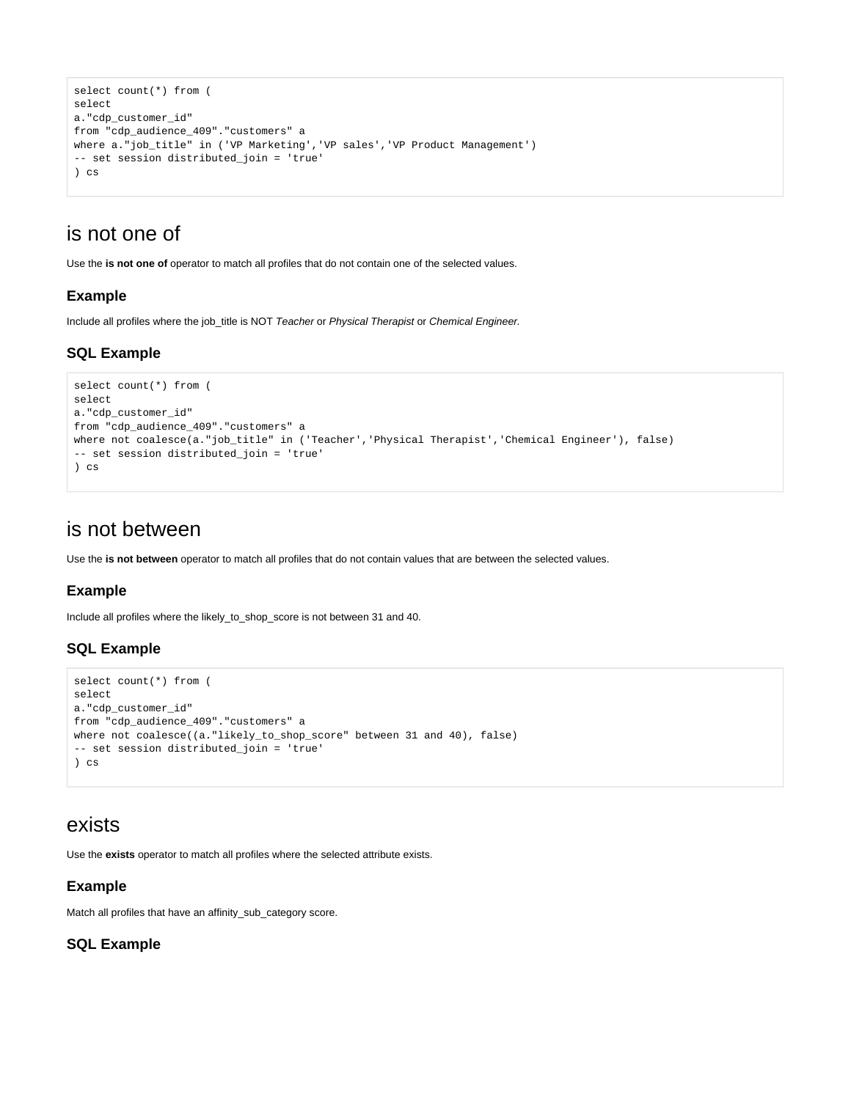```
select count(*) from (
select
a."cdp_customer_id"
from "cdp_audience_409"."customers" a
where a."job_title" in ('VP Marketing','VP sales','VP Product Management')
-- set session distributed_join = 'true'
) cs
```
### <span id="page-6-0"></span>is not one of

Use the **is not one of** operator to match all profiles that do not contain one of the selected values.

### **Example**

Include all profiles where the job\_title is NOT Teacher or Physical Therapist or Chemical Engineer.

### **SQL Example**

```
select count(*) from (
select
a."cdp_customer_id"
from "cdp_audience_409"."customers" a
where not coalesce(a."job_title" in ('Teacher','Physical Therapist','Chemical Engineer'), false)
-- set session distributed_join = 'true'
) cs
```
### <span id="page-6-1"></span>is not between

Use the **is not between** operator to match all profiles that do not contain values that are between the selected values.

#### **Example**

Include all profiles where the likely\_to\_shop\_score is not between 31 and 40.

### **SQL Example**

```
select count(*) from (
select
a."cdp_customer_id"
from "cdp_audience_409"."customers" a
where not coalesce((a."likely_to_shop_score" between 31 and 40), false)
-- set session distributed_join = 'true'
) cs
```
### <span id="page-6-2"></span>exists

Use the **exists** operator to match all profiles where the selected attribute exists.

### **Example**

Match all profiles that have an affinity\_sub\_category score.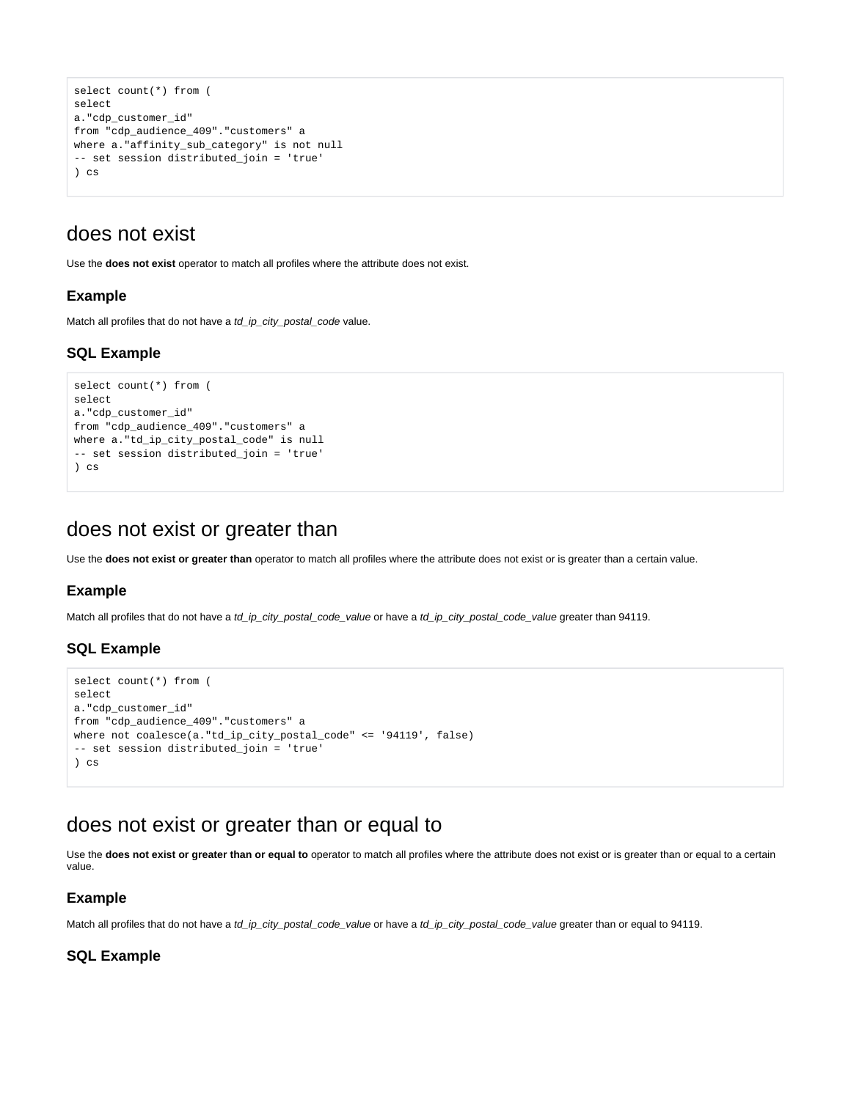```
select count(*) from (
select
a."cdp_customer_id"
from "cdp_audience_409"."customers" a
where a."affinity_sub_category" is not null
-- set session distributed_join = 'true'
) cs
```
### <span id="page-7-0"></span>does not exist

Use the **does not exist** operator to match all profiles where the attribute does not exist.

#### **Example**

Match all profiles that do not have a td\_ip\_city\_postal\_code value.

### **SQL Example**

```
select count(*) from (
select
a."cdp_customer_id"
from "cdp_audience_409"."customers" a
where a."td_ip_city_postal_code" is null
-- set session distributed_join = 'true'
) cs
```
### <span id="page-7-1"></span>does not exist or greater than

Use the **does not exist or greater than** operator to match all profiles where the attribute does not exist or is greater than a certain value.

#### **Example**

Match all profiles that do not have a td\_ip\_city\_postal\_code\_value or have a td\_ip\_city\_postal\_code\_value greater than 94119.

### **SQL Example**

```
select count(*) from (
select
a."cdp_customer_id"
from "cdp_audience_409"."customers" a
where not coalesce(a."td_ip_city_postal_code" <= '94119', false)
-- set session distributed_join = 'true'
) cs
```
### <span id="page-7-2"></span>does not exist or greater than or equal to

Use the **does not exist or greater than or equal to** operator to match all profiles where the attribute does not exist or is greater than or equal to a certain value.

#### **Example**

Match all profiles that do not have a td\_ip\_city\_postal\_code\_value or have a td\_ip\_city\_postal\_code\_value greater than or equal to 94119.